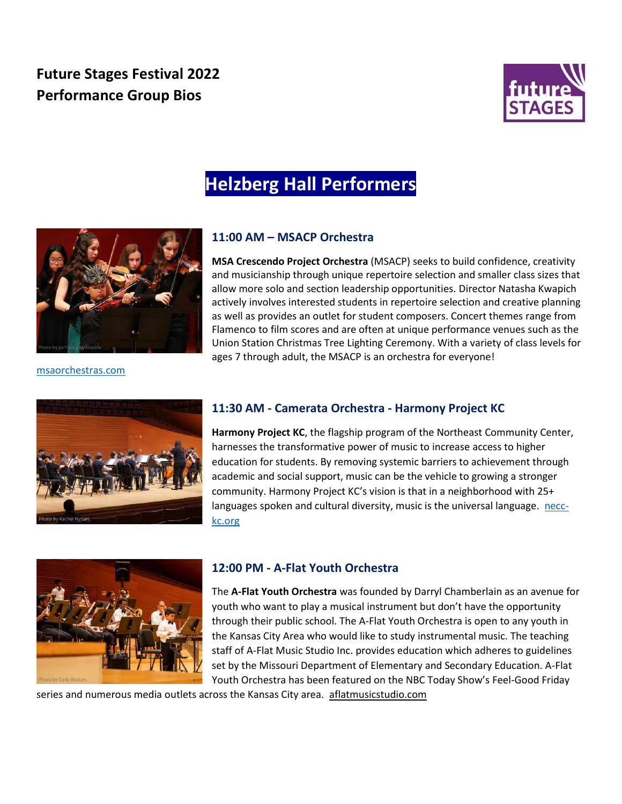# **Future Stages Festival 2022 Performance Group Bios**



# **Helzberg Hall Performers**



[msaorchestras.com](https://www.msaorchestras.com/)

# **11:00 AM – MSACP Orchestra**

**MSA Crescendo Project Orchestra** (MSACP) seeks to build confidence, creativity and musicianship through unique repertoire selection and smaller class sizes that allow more solo and section leadership opportunities. Director Natasha Kwapich actively involves interested students in repertoire selection and creative planning as well as provides an outlet for student composers. Concert themes range from Flamenco to film scores and are often at unique performance venues such as the Union Station Christmas Tree Lighting Ceremony. With a variety of class levels for ages 7 through adult, the MSACP is an orchestra for everyone!

# **11:30 AM - Camerata Orchestra - Harmony Project KC**

**Harmony Project KC**, the flagship program of the Northeast Community Center, harnesses the transformative power of music to increase access to higher education for students. By removing systemic barriers to achievement through academic and social support, music can be the vehicle to growing a stronger community. Harmony Project KC's vision is that in a neighborhood with 25+ languages spoken and cultural diversity, music is the universal language. [necc](https://www.necc-kc.org/)[kc.org](https://www.necc-kc.org/)



# **12:00 PM - A-Flat Youth Orchestra**

The **A-Flat Youth Orchestra** was founded by Darryl Chamberlain as an avenue for youth who want to play a musical instrument but don't have the opportunity through their public school. The A-Flat Youth Orchestra is open to any youth in the Kansas City Area who would like to study instrumental music. The teaching staff of A-Flat Music Studio Inc. provides education which adheres to guidelines set by the Missouri Department of Elementary and Secondary Education. A-Flat Youth Orchestra has been featured on the NBC Today Show's Feel-Good Friday

series and numerous media outlets across the Kansas City area. [aflatmusicstudio.com](http://www.aflatmusicstudio.com/)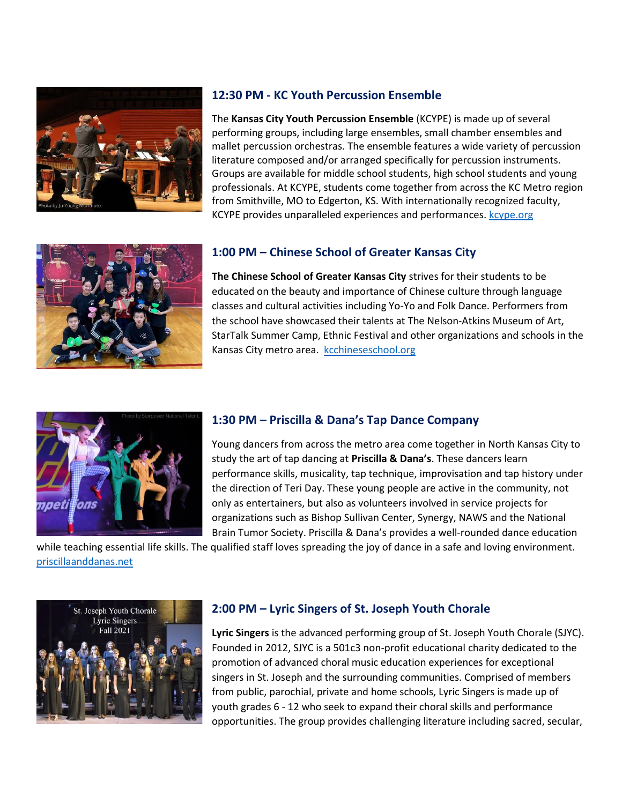

# **12:30 PM - KC Youth Percussion Ensemble**

The **Kansas City Youth Percussion Ensemble** (KCYPE) is made up of several performing groups, including large ensembles, small chamber ensembles and mallet percussion orchestras. The ensemble features a wide variety of percussion literature composed and/or arranged specifically for percussion instruments. Groups are available for middle school students, high school students and young professionals. At KCYPE, students come together from across the KC Metro region from Smithville, MO to Edgerton, KS. With internationally recognized faculty, KCYPE provides unparalleled experiences and performances[. kcype.org](https://kcype.org/)



### **1:00 PM – Chinese School of Greater Kansas City**

**The Chinese School of Greater Kansas City** strives for their students to be educated on the beauty and importance of Chinese culture through language classes and cultural activities including Yo-Yo and Folk Dance. Performers from the school have showcased their talents at The Nelson-Atkins Museum of Art, StarTalk Summer Camp, Ethnic Festival and other organizations and schools in the Kansas City metro area. [kcchineseschool.org](https://sites.google.com/view/thechineseschoolofgreaterkc/home)



# **1:30 PM – Priscilla & Dana's Tap Dance Company**

Young dancers from across the metro area come together in North Kansas City to study the art of tap dancing at **Priscilla & Dana's**. These dancers learn performance skills, musicality, tap technique, improvisation and tap history under the direction of Teri Day. These young people are active in the community, not only as entertainers, but also as volunteers involved in service projects for organizations such as Bishop Sullivan Center, Synergy, NAWS and the National Brain Tumor Society. Priscilla & Dana's provides a well-rounded dance education

while teaching essential life skills. The qualified staff loves spreading the joy of dance in a safe and loving environment. [priscillaanddanas.net](http://priscillaanddanas.net/)



### **2:00 PM – Lyric Singers of St. Joseph Youth Chorale**

**Lyric Singers** is the advanced performing group of St. Joseph Youth Chorale (SJYC). Founded in 2012, SJYC is a 501c3 non-profit educational charity dedicated to the promotion of advanced choral music education experiences for exceptional singers in St. Joseph and the surrounding communities. Comprised of members from public, parochial, private and home schools, Lyric Singers is made up of youth grades 6 - 12 who seek to expand their choral skills and performance opportunities. The group provides challenging literature including sacred, secular,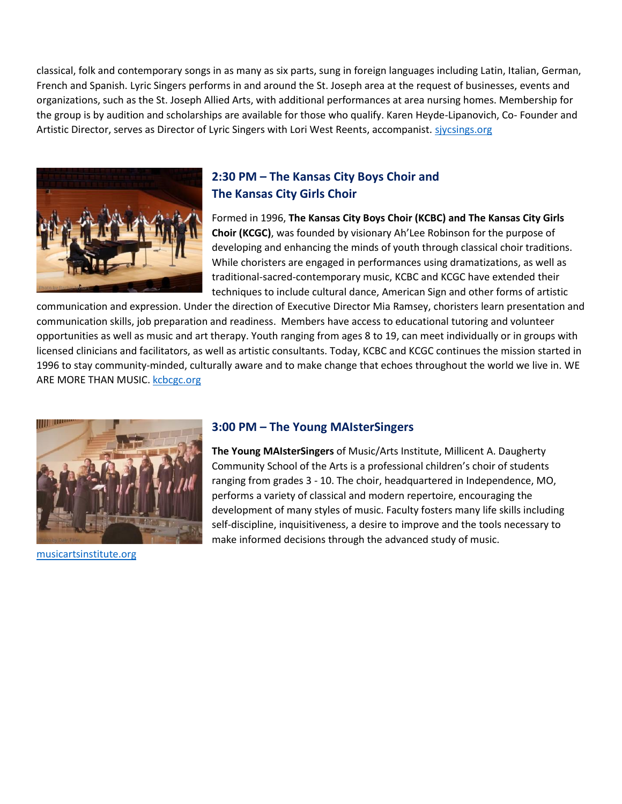classical, folk and contemporary songs in as many as six parts, sung in foreign languages including Latin, Italian, German, French and Spanish. Lyric Singers performs in and around the St. Joseph area at the request of businesses, events and organizations, such as the St. Joseph Allied Arts, with additional performances at area nursing homes. Membership for the group is by audition and scholarships are available for those who qualify. Karen Heyde-Lipanovich, Co- Founder and Artistic Director, serves as Director of Lyric Singers with Lori West Reents, accompanist. [sjycsings.org](https://www.sjycsings.org/)



# **2:30 PM – The Kansas City Boys Choir and The Kansas City Girls Choir**

Formed in 1996, **The Kansas City Boys Choir (KCBC) and The Kansas City Girls Choir (KCGC)**, was founded by visionary Ah'Lee Robinson for the purpose of developing and enhancing the minds of youth through classical choir traditions. While choristers are engaged in performances using dramatizations, as well as traditional-sacred-contemporary music, KCBC and KCGC have extended their techniques to include cultural dance, American Sign and other forms of artistic

communication and expression. Under the direction of Executive Director Mia Ramsey, choristers learn presentation and communication skills, job preparation and readiness. Members have access to educational tutoring and volunteer opportunities as well as music and art therapy. Youth ranging from ages 8 to 19, can meet individually or in groups with licensed clinicians and facilitators, as well as artistic consultants. Today, KCBC and KCGC continues the mission started in 1996 to stay community-minded, culturally aware and to make change that echoes throughout the world we live in. WE ARE MORE THAN MUSIC. [kcbcgc.org](https://www.kcbcgc.org/)



[musicartsinstitute.org](http://musicartsinstitute.org/)

### **3:00 PM – The Young MAIsterSingers**

**The Young MAIsterSingers** of Music/Arts Institute, Millicent A. Daugherty Community School of the Arts is a professional children's choir of students ranging from grades 3 - 10. The choir, headquartered in Independence, MO, performs a variety of classical and modern repertoire, encouraging the development of many styles of music. Faculty fosters many life skills including self-discipline, inquisitiveness, a desire to improve and the tools necessary to make informed decisions through the advanced study of music.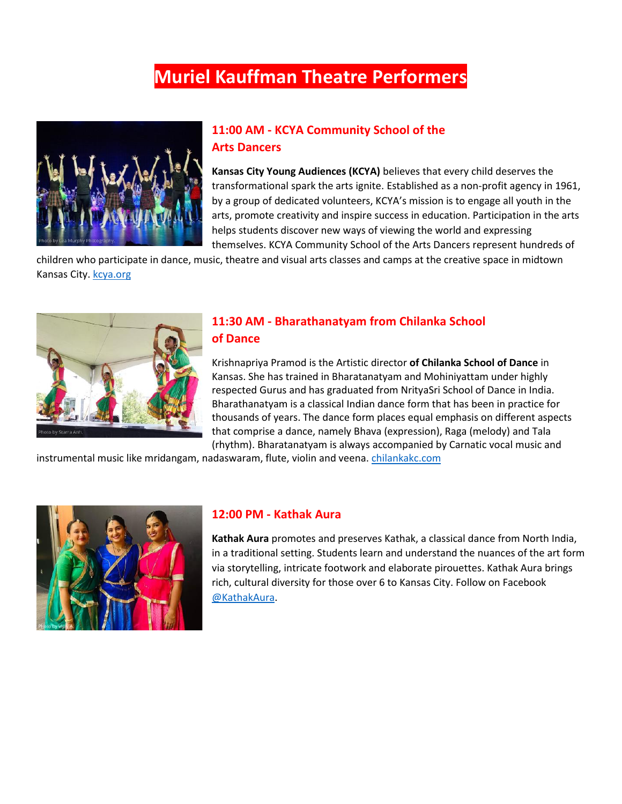# **Muriel Kauffman Theatre Performers**



# **11:00 AM - KCYA Community School of the Arts Dancers**

**Kansas City Young Audiences (KCYA)** believes that every child deserves the transformational spark the arts ignite. Established as a non-profit agency in 1961, by a group of dedicated volunteers, KCYA's mission is to engage all youth in the arts, promote creativity and inspire success in education. Participation in the arts helps students discover new ways of viewing the world and expressing themselves. KCYA Community School of the Arts Dancers represent hundreds of

children who participate in dance, music, theatre and visual arts classes and camps at the creative space in midtown Kansas City. [kcya.org](https://kcya.org/)



# **11:30 AM - Bharathanatyam from Chilanka School of Dance**

Krishnapriya Pramod is the Artistic director **of Chilanka School of Dance** in Kansas. She has trained in Bharatanatyam and Mohiniyattam under highly respected Gurus and has graduated from NrityaSri School of Dance in India. Bharathanatyam is a classical Indian dance form that has been in practice for thousands of years. The dance form places equal emphasis on different aspects that comprise a dance, namely Bhava (expression), Raga (melody) and Tala (rhythm). Bharatanatyam is always accompanied by Carnatic vocal music and

instrumental music like mridangam, nadaswaram, flute, violin and veena[. chilankakc.com](https://www.chilankakc.com/)



#### **12:00 PM - Kathak Aura**

**Kathak Aura** promotes and preserves Kathak, a classical dance from North India, in a traditional setting. Students learn and understand the nuances of the art form via storytelling, intricate footwork and elaborate pirouettes. Kathak Aura brings rich, cultural diversity for those over 6 to Kansas City. Follow on Facebook [@KathakAura.](https://www.facebook.com/KathakAura)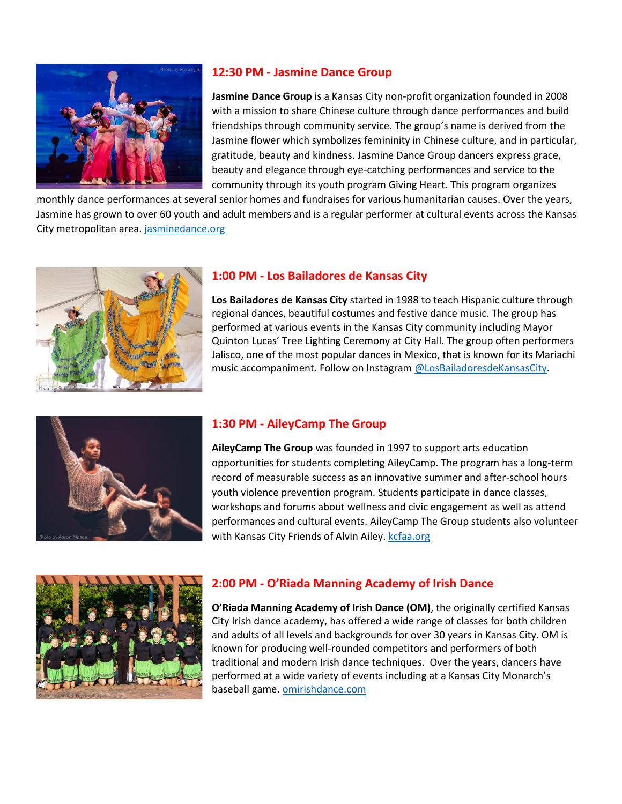

### **12:30 PM - Jasmine Dance Group**

**Jasmine Dance Group** is a Kansas City non-profit organization founded in 2008 with a mission to share Chinese culture through dance performances and build friendships through community service. The group's name is derived from the Jasmine flower which symbolizes femininity in Chinese culture, and in particular, gratitude, beauty and kindness. Jasmine Dance Group dancers express grace, beauty and elegance through eye-catching performances and service to the community through its youth program Giving Heart. This program organizes

monthly dance performances at several senior homes and fundraises for various humanitarian causes. Over the years, Jasmine has grown to over 60 youth and adult members and is a regular performer at cultural events across the Kansas City metropolitan area. [jasminedance.org](https://www.jasminedance.org/)



# **1:00 PM - Los Bailadores de Kansas City**

**Los Bailadores de Kansas City** started in 1988 to teach Hispanic culture through regional dances, beautiful costumes and festive dance music. The group has performed at various events in the Kansas City community including Mayor Quinton Lucas' Tree Lighting Ceremony at City Hall. The group often performers Jalisco, one of the most popular dances in Mexico, that is known for its Mariachi music accompaniment. Follow on Instagram [@LosBailadoresdeKansasCity.](https://www.instagram.com/losbailadoresdekansascity/?r=nametag&hl=en)



# **1:30 PM - AileyCamp The Group**

**AileyCamp The Group** was founded in 1997 to support arts education opportunities for students completing AileyCamp. The program has a long-term record of measurable success as an innovative summer and after-school hours youth violence prevention program. Students participate in dance classes, workshops and forums about wellness and civic engagement as well as attend performances and cultural events. AileyCamp The Group students also volunteer with Kansas City Friends of Alvin Ailey. [kcfaa.org](https://kcfaa.org/aileycamp2022/)



# **2:00 PM - O'Riada Manning Academy of Irish Dance**

**O'Riada Manning Academy of Irish Dance (OM)**, the originally certified Kansas City Irish dance academy, has offered a wide range of classes for both children and adults of all levels and backgrounds for over 30 years in Kansas City. OM is known for producing well-rounded competitors and performers of both traditional and modern Irish dance techniques. Over the years, dancers have performed at a wide variety of events including at a Kansas City Monarch's baseball game. [omirishdance.com](http://www.omirishdance.com/)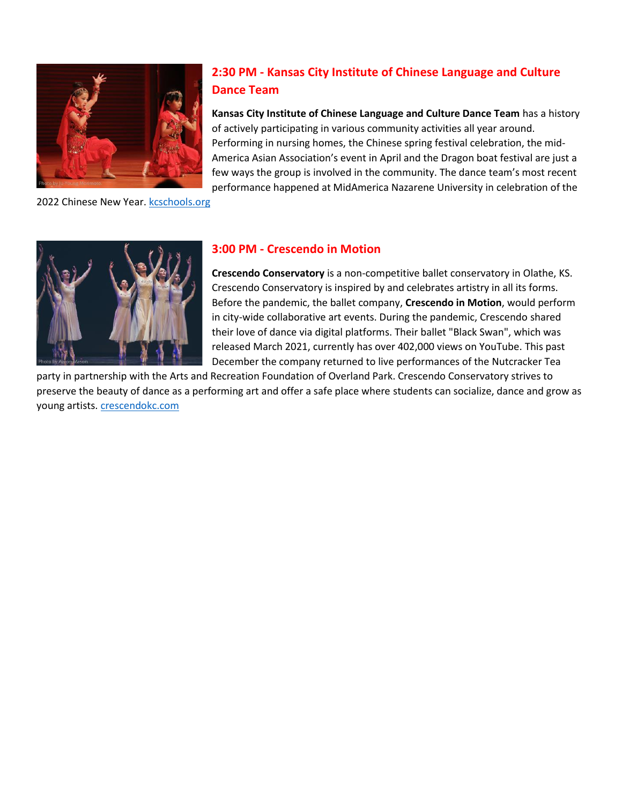

# **2:30 PM - Kansas City Institute of Chinese Language and Culture Dance Team**

**Kansas City Institute of Chinese Language and Culture Dance Team** has a history of actively participating in various community activities all year around. Performing in nursing homes, the Chinese spring festival celebration, the mid-America Asian Association's event in April and the Dragon boat festival are just a few ways the group is involved in the community. The dance team's most recent performance happened at MidAmerica Nazarene University in celebration of the

2022 Chinese New Year. [kcschools.org](http://www.kcschool.org/home/)



#### **3:00 PM - Crescendo in Motion**

**Crescendo Conservatory** is a non-competitive ballet conservatory in Olathe, KS. Crescendo Conservatory is inspired by and celebrates artistry in all its forms. Before the pandemic, the ballet company, **Crescendo in Motion**, would perform in city-wide collaborative art events. During the pandemic, Crescendo shared their love of dance via digital platforms. Their ballet "Black Swan", which was released March 2021, currently has over 402,000 views on YouTube. This past December the company returned to live performances of the Nutcracker Tea

party in partnership with the Arts and Recreation Foundation of Overland Park. Crescendo Conservatory strives to preserve the beauty of dance as a performing art and offer a safe place where students can socialize, dance and grow as young artists. [crescendokc.com](https://crescendokc.com/)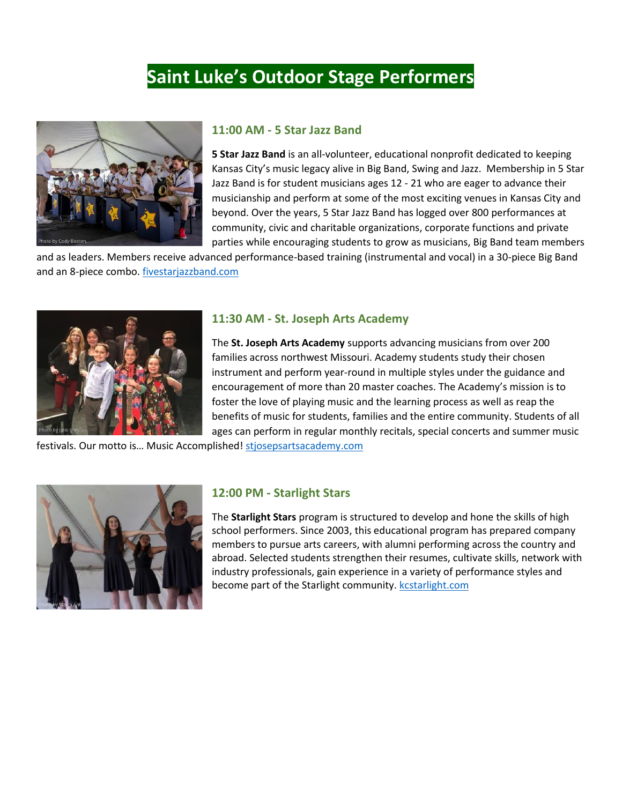# **Saint Luke's Outdoor Stage Performers**



#### **11:00 AM - 5 Star Jazz Band**

**5 Star Jazz Band** is an all-volunteer, educational nonprofit dedicated to keeping Kansas City's music legacy alive in Big Band, Swing and Jazz. Membership in 5 Star Jazz Band is for student musicians ages 12 - 21 who are eager to advance their musicianship and perform at some of the most exciting venues in Kansas City and beyond. Over the years, 5 Star Jazz Band has logged over 800 performances at community, civic and charitable organizations, corporate functions and private parties while encouraging students to grow as musicians, Big Band team members

and as leaders. Members receive advanced performance-based training (instrumental and vocal) in a 30-piece Big Band and an 8-piece combo. [fivestarjazzband.com](https://www.5starjazzband.com/index.html)



#### **11:30 AM - St. Joseph Arts Academy**

The **St. Joseph Arts Academy** supports advancing musicians from over 200 families across northwest Missouri. Academy students study their chosen instrument and perform year-round in multiple styles under the guidance and encouragement of more than 20 master coaches. The Academy's mission is to foster the love of playing music and the learning process as well as reap the benefits of music for students, families and the entire community. Students of all ages can perform in regular monthly recitals, special concerts and summer music

festivals. Our motto is... Music Accomplished! [stjosepsartsacademy.com](https://stjosephartsacademy.com/)



#### **12:00 PM - Starlight Stars**

The **Starlight Stars** program is structured to develop and hone the skills of high school performers. Since 2003, this educational program has prepared company members to pursue arts careers, with alumni performing across the country and abroad. Selected students strengthen their resumes, cultivate skills, network with industry professionals, gain experience in a variety of performance styles and become part of the Starlight community. [kcstarlight.com](https://www.kcstarlight.com/engage/training/starlight-stars/)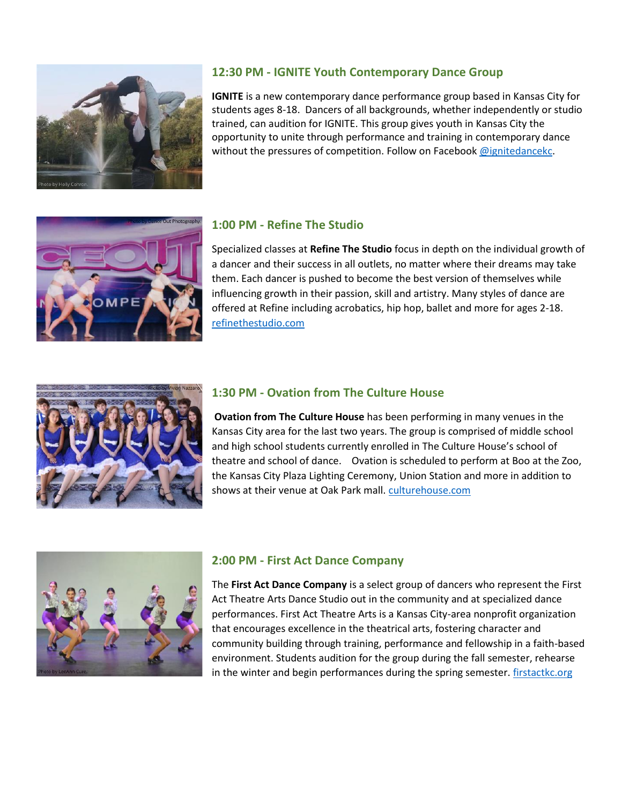

### **12:30 PM - IGNITE Youth Contemporary Dance Group**

**IGNITE** is a new contemporary dance performance group based in Kansas City for students ages 8-18. Dancers of all backgrounds, whether independently or studio trained, can audition for IGNITE. This group gives youth in Kansas City the opportunity to unite through performance and training in contemporary dance without the pressures of competition. Follow on Facebook [@ignitedancekc.](http://www.facebook.com/ignitedancekc)



### **1:00 PM - Refine The Studio**

Specialized classes at **Refine The Studio** focus in depth on the individual growth of a dancer and their success in all outlets, no matter where their dreams may take them. Each dancer is pushed to become the best version of themselves while influencing growth in their passion, skill and artistry. Many styles of dance are offered at Refine including acrobatics, hip hop, ballet and more for ages 2-18. [refinethestudio.com](https://www.refinethestudio.com/)



### **1:30 PM - Ovation from The Culture House**

**Ovation from The Culture House** has been performing in many venues in the Kansas City area for the last two years. The group is comprised of middle school and high school students currently enrolled in The Culture House's school of theatre and school of dance. Ovation is scheduled to perform at Boo at the Zoo, the Kansas City Plaza Lighting Ceremony, Union Station and more in addition to shows at their venue at Oak Park mall. [culturehouse.com](https://www.culturehouse.com/)



### **2:00 PM - First Act Dance Company**

The **First Act Dance Company** is a select group of dancers who represent the First Act Theatre Arts Dance Studio out in the community and at specialized dance performances. First Act Theatre Arts is a Kansas City-area nonprofit organization that encourages excellence in the theatrical arts, fostering character and community building through training, performance and fellowship in a faith-based environment. Students audition for the group during the fall semester, rehearse in the winter and begin performances during the spring semester. [firstactkc.org](https://firstactkc.org/)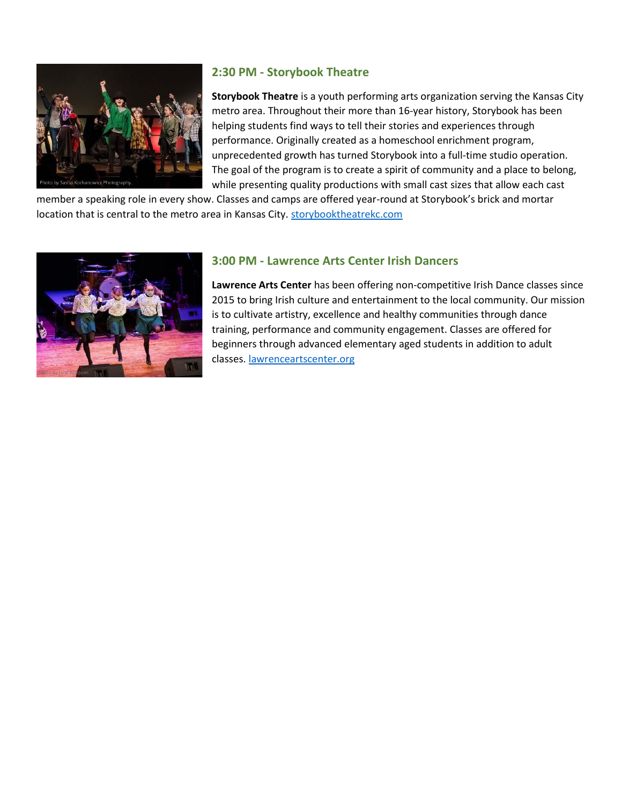

### **2:30 PM - Storybook Theatre**

**Storybook Theatre** is a youth performing arts organization serving the Kansas City metro area. Throughout their more than 16-year history, Storybook has been helping students find ways to tell their stories and experiences through performance. Originally created as a homeschool enrichment program, unprecedented growth has turned Storybook into a full-time studio operation. The goal of the program is to create a spirit of community and a place to belong, while presenting quality productions with small cast sizes that allow each cast

member a speaking role in every show. Classes and camps are offered year-round at Storybook's brick and mortar location that is central to the metro area in Kansas City. [storybooktheatrekc.com](https://www.storybooktheatrekc.com/)



#### **3:00 PM - Lawrence Arts Center Irish Dancers**

**Lawrence Arts Center** has been offering non-competitive Irish Dance classes since 2015 to bring Irish culture and entertainment to the local community. Our mission is to cultivate artistry, excellence and healthy communities through dance training, performance and community engagement. Classes are offered for beginners through advanced elementary aged students in addition to adult classes[. lawrenceartscenter.org](https://lawrenceartscenter.org/)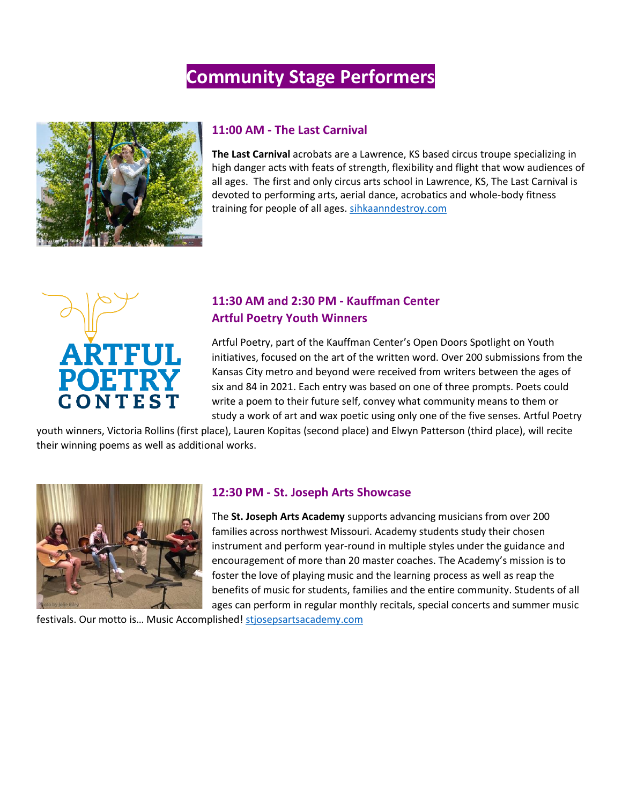# **Community Stage Performers**



#### **11:00 AM - The Last Carnival**

**The Last Carnival** acrobats are a Lawrence, KS based circus troupe specializing in high danger acts with feats of strength, flexibility and flight that wow audiences of all ages. The first and only circus arts school in Lawrence, KS, The Last Carnival is devoted to performing arts, aerial dance, acrobatics and whole-body fitness training for people of all ages. [sihkaanndestroy.com](https://www.sihkaanndestroy.com/)



# **11:30 AM and 2:30 PM - Kauffman Center Artful Poetry Youth Winners**

Artful Poetry, part of the Kauffman Center's Open Doors Spotlight on Youth initiatives, focused on the art of the written word. Over 200 submissions from the Kansas City metro and beyond were received from writers between the ages of six and 84 in 2021. Each entry was based on one of three prompts. Poets could write a poem to their future self, convey what community means to them or study a work of art and wax poetic using only one of the five senses. Artful Poetry

youth winners, Victoria Rollins (first place), Lauren Kopitas (second place) and Elwyn Patterson (third place), will recite their winning poems as well as additional works.



### **12:30 PM - St. Joseph Arts Showcase**

The **St. Joseph Arts Academy** supports advancing musicians from over 200 families across northwest Missouri. Academy students study their chosen instrument and perform year-round in multiple styles under the guidance and encouragement of more than 20 master coaches. The Academy's mission is to foster the love of playing music and the learning process as well as reap the benefits of music for students, families and the entire community. Students of all ages can perform in regular monthly recitals, special concerts and summer music

festivals. Our motto is... Music Accomplished! [stjosepsartsacademy.com](https://stjosephartsacademy.com/)